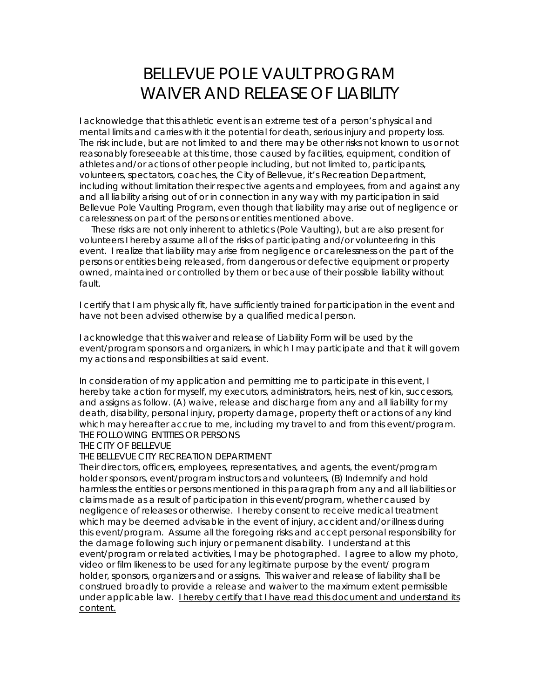## BELLEVUE POLE VAULT PROGRAM WAIVER AND RELEASE OF LIABILITY

I acknowledge that this athletic event is an extreme test of a person's physical and mental limits and carries with it the potential for death, serious injury and property loss. The risk include, but are not limited to and there may be other risks not known to us or not reasonably foreseeable at this time, those caused by facilities, equipment, condition of athletes and/or actions of other people including, but not limited to, participants, volunteers, spectators, coaches, the City of Bellevue, it's Recreation Department, including without limitation their respective agents and employees, from and against any and all liability arising out of or in connection in any way with my participation in said Bellevue Pole Vaulting Program, even though that liability may arise out of negligence or carelessness on part of the persons or entities mentioned above.

 These risks are not only inherent to athletics (Pole Vaulting), but are also present for volunteers I hereby assume all of the risks of participating and/or volunteering in this event. I realize that liability may arise from negligence or carelessness on the part of the persons or entities being released, from dangerous or defective equipment or property owned, maintained or controlled by them or because of their possible liability without fault.

I certify that I am physically fit, have sufficiently trained for participation in the event and have not been advised otherwise by a qualified medical person.

I acknowledge that this waiver and release of Liability Form will be used by the event/program sponsors and organizers, in which I may participate and that it will govern my actions and responsibilities at said event.

In consideration of my application and permitting me to participate in this event, I hereby take action for myself, my executors, administrators, heirs, nest of kin, successors, and assigns as follow. (A) waive, release and discharge from any and all liability for my death, disability, personal injury, property damage, property theft or actions of any kind which may hereafter accrue to me, including my travel to and from this event/program. THE FOLLOWING ENTITIES OR PERSONS

## THE CITY OF BELLEVUE

## THE BELLEVUE CITY RECREATION DEPARTMENT

Their directors, officers, employees, representatives, and agents, the event/program holder sponsors, event/program instructors and volunteers, (B) Indemnify and hold harmless the entities or persons mentioned in this paragraph from any and all liabilities or claims made as a result of participation in this event/program, whether caused by negligence of releases or otherwise. I hereby consent to receive medical treatment which may be deemed advisable in the event of injury, accident and/or illness during this event/program. Assume all the foregoing risks and accept personal responsibility for the damage following such injury or permanent disability. I understand at this event/program or related activities, I may be photographed. I agree to allow my photo, video or film likeness to be used for any legitimate purpose by the event/ program holder, sponsors, organizers and or assigns. This waiver and release of liability shall be construed broadly to provide a release and waiver to the maximum extent permissible under applicable law. I hereby certify that I have read this document and understand its content.